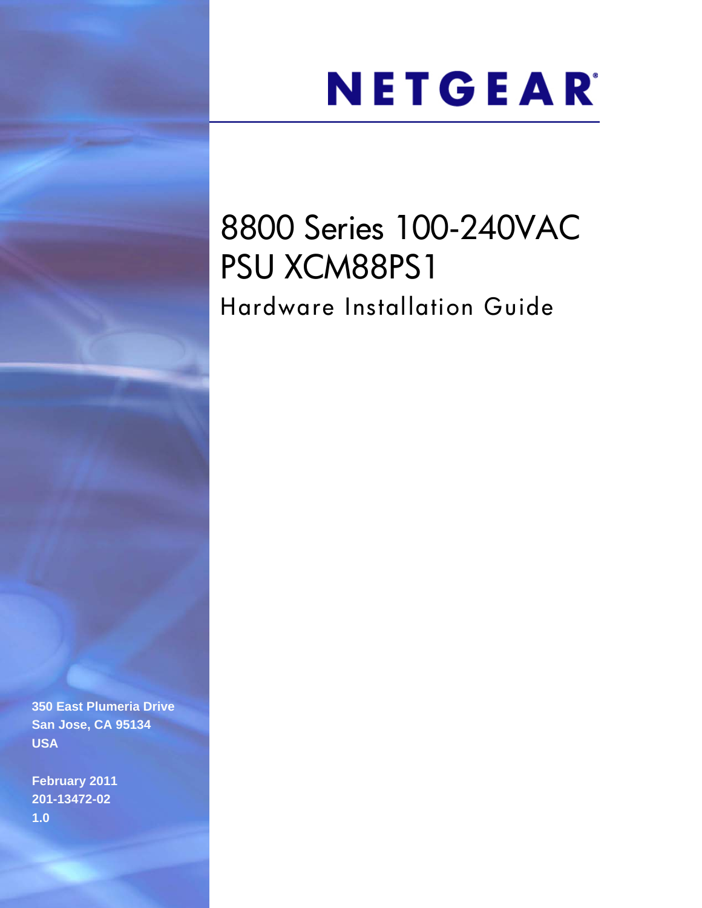# NETGEAR®

# 8800 Series 100-240VAC PSU XCM88PS1 Hardware Installation Guide

**350 East Plumeria Drive San Jose, CA 95134 USA**

**February 2011 201-13472-02 1.0**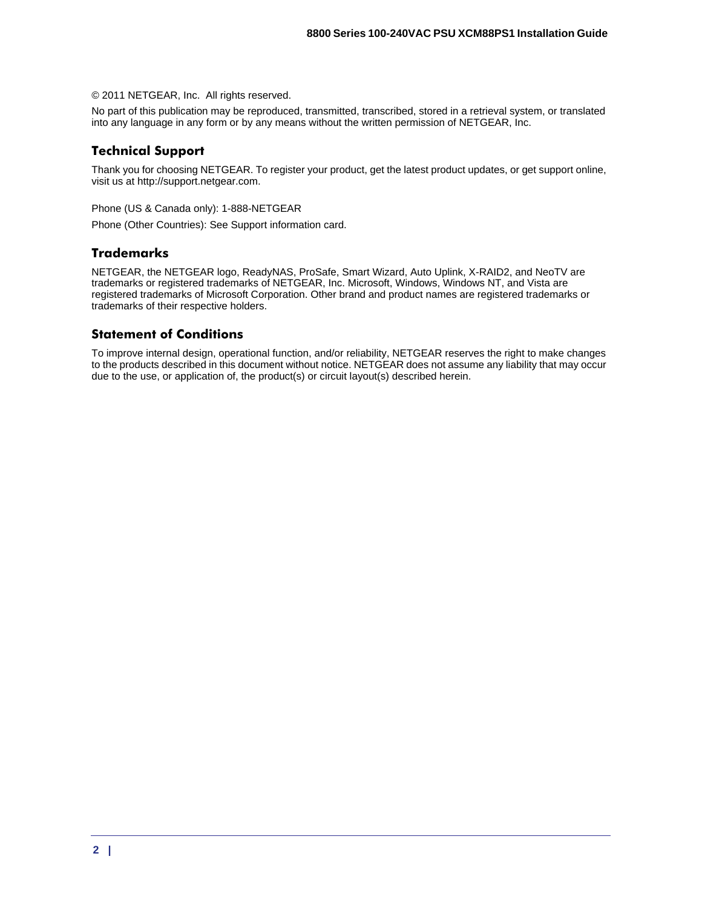© 2011 NETGEAR, Inc. All rights reserved.

No part of this publication may be reproduced, transmitted, transcribed, stored in a retrieval system, or translated into any language in any form or by any means without the written permission of NETGEAR, Inc.

#### **Technical Support**

Thank you for choosing NETGEAR. To register your product, get the latest product updates, or get support online, visit us at http://support.netgear.com.

Phone (US & Canada only): 1-888-NETGEAR

Phone (Other Countries): See Support information card.

#### **Trademarks**

NETGEAR, the NETGEAR logo, ReadyNAS, ProSafe, Smart Wizard, Auto Uplink, X-RAID2, and NeoTV are trademarks or registered trademarks of NETGEAR, Inc. Microsoft, Windows, Windows NT, and Vista are registered trademarks of Microsoft Corporation. Other brand and product names are registered trademarks or trademarks of their respective holders.

#### **Statement of Conditions**

To improve internal design, operational function, and/or reliability, NETGEAR reserves the right to make changes to the products described in this document without notice. NETGEAR does not assume any liability that may occur due to the use, or application of, the product(s) or circuit layout(s) described herein.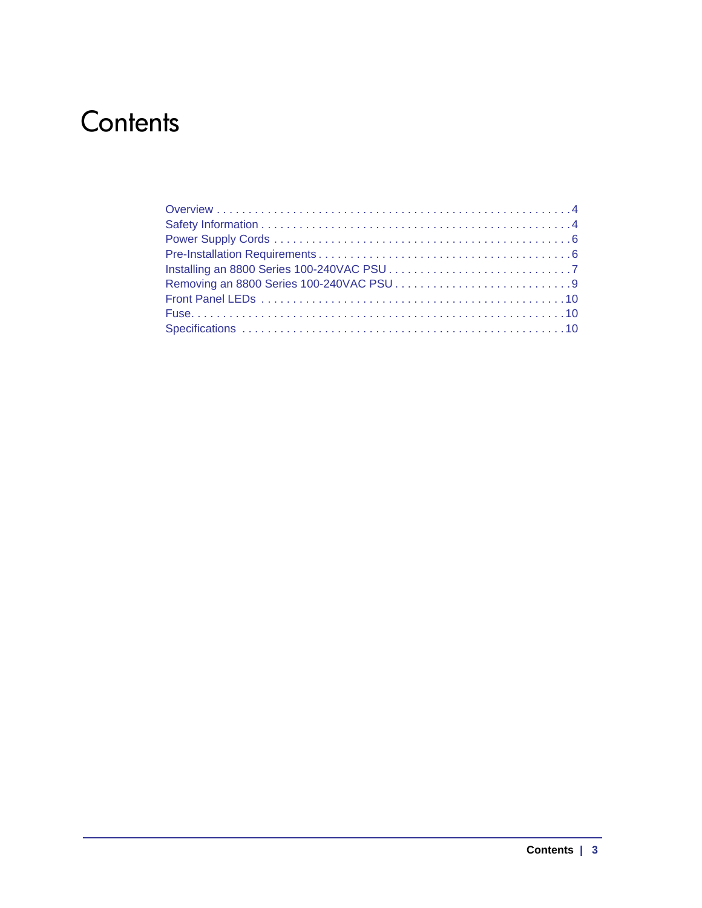## **Contents**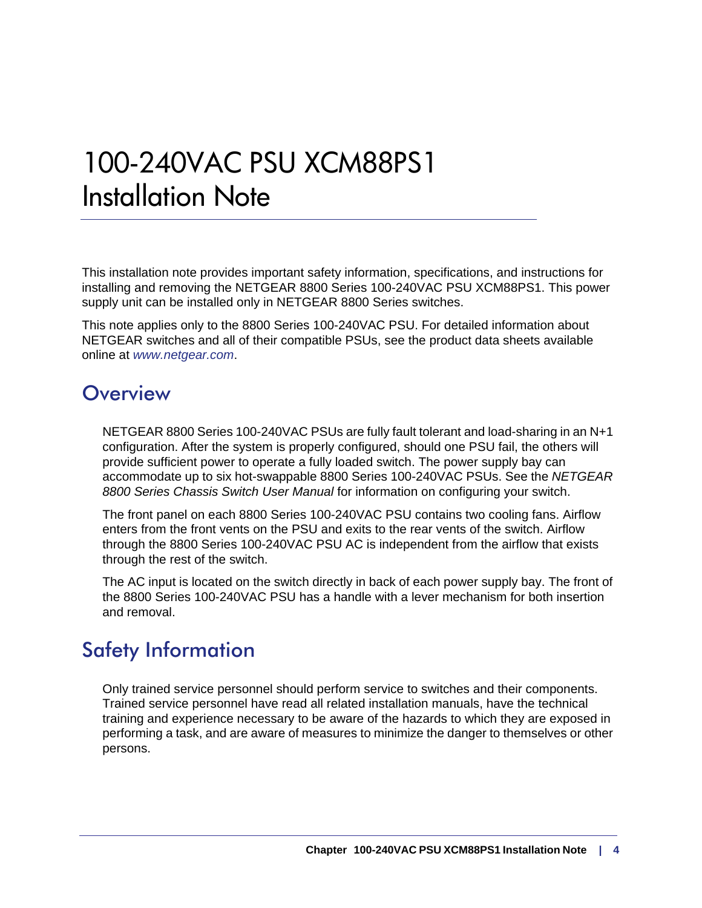# 100-240VAC PSU XCM88PS1 Installation Note

This installation note provides important safety information, specifications, and instructions for installing and removing the NETGEAR 8800 Series 100-240VAC PSU XCM88PS1. This power supply unit can be installed only in NETGEAR 8800 Series switches.

This note applies only to the 8800 Series 100-240VAC PSU. For detailed information about NETGEAR switches and all of their compatible PSUs, see the product data sheets available online at *www.netgear.com*.

### <span id="page-3-0"></span>**Overview**

NETGEAR 8800 Series 100-240VAC PSUs are fully fault tolerant and load-sharing in an N+1 configuration. After the system is properly configured, should one PSU fail, the others will provide sufficient power to operate a fully loaded switch. The power supply bay can accommodate up to six hot-swappable 8800 Series 100-240VAC PSUs. See the *NETGEAR 8800 Series Chassis Switch User Manual* for information on configuring your switch.

The front panel on each 8800 Series 100-240VAC PSU contains two cooling fans. Airflow enters from the front vents on the PSU and exits to the rear vents of the switch. Airflow through the 8800 Series 100-240VAC PSU AC is independent from the airflow that exists through the rest of the switch.

The AC input is located on the switch directly in back of each power supply bay. The front of the 8800 Series 100-240VAC PSU has a handle with a lever mechanism for both insertion and removal.

### <span id="page-3-1"></span>Safety Information

Only trained service personnel should perform service to switches and their components. Trained service personnel have read all related installation manuals, have the technical training and experience necessary to be aware of the hazards to which they are exposed in performing a task, and are aware of measures to minimize the danger to themselves or other persons.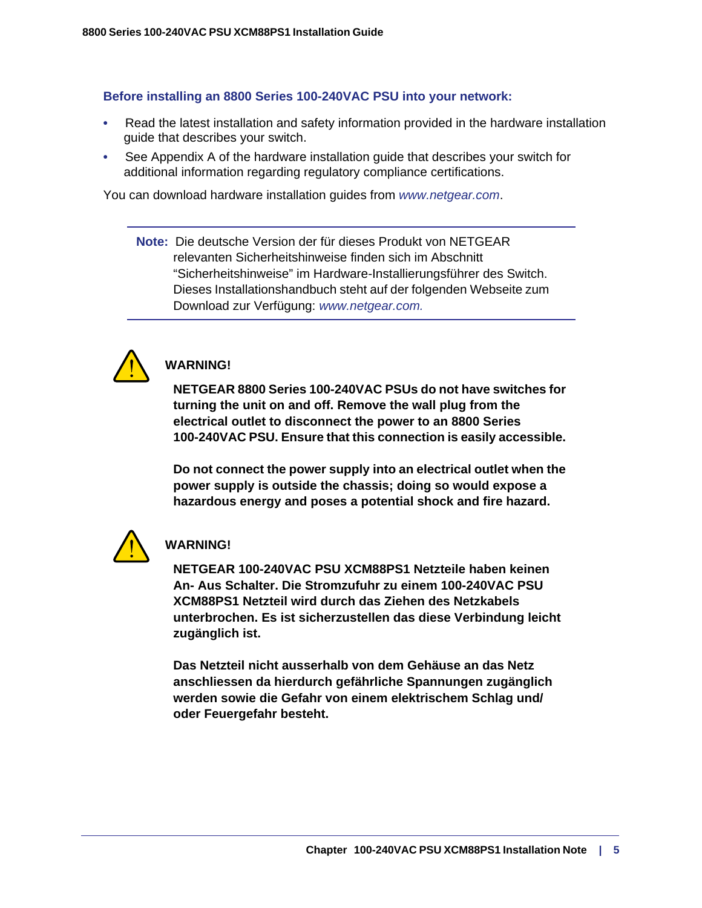#### **Before installing an 8800 Series 100-240VAC PSU into your network:**

- Read the latest installation and safety information provided in the hardware installation guide that describes your switch.
- See Appendix A of the hardware installation guide that describes your switch for additional information regarding regulatory compliance certifications.

You can download hardware installation guides from *www.netgear.com*.

**Note:** Die deutsche Version der für dieses Produkt von NETGEAR relevanten Sicherheitshinweise finden sich im Abschnitt "Sicherheitshinweise" im Hardware-Installierungsführer des Switch. Dieses Installationshandbuch steht auf der folgenden Webseite zum Download zur Verfügung: *www.netgear.com.* 



### **WARNING!**

**NETGEAR 8800 Series 100-240VAC PSUs do not have switches for turning the unit on and off. Remove the wall plug from the electrical outlet to disconnect the power to an 8800 Series 100-240VAC PSU. Ensure that this connection is easily accessible.** 

**Do not connect the power supply into an electrical outlet when the power supply is outside the chassis; doing so would expose a hazardous energy and poses a potential shock and fire hazard.**



#### **WARNING!**

**NETGEAR 100-240VAC PSU XCM88PS1 Netzteile haben keinen An- Aus Schalter. Die Stromzufuhr zu einem 100-240VAC PSU XCM88PS1 Netzteil wird durch das Ziehen des Netzkabels unterbrochen. Es ist sicherzustellen das diese Verbindung leicht zugänglich ist.**

**Das Netzteil nicht ausserhalb von dem Gehäuse an das Netz anschliessen da hierdurch gefährliche Spannungen zugänglich werden sowie die Gefahr von einem elektrischem Schlag und/ oder Feuergefahr besteht.**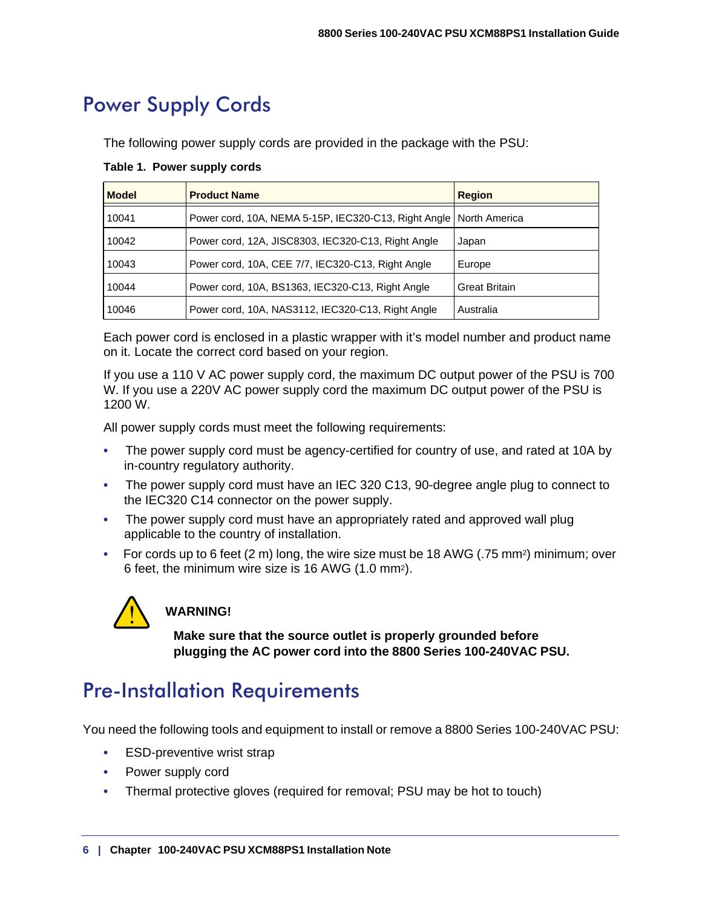### <span id="page-5-0"></span>Power Supply Cords

The following power supply cords are provided in the package with the PSU:

| <b>Model</b> | <b>Product Name</b>                                                  | <b>Region</b>        |
|--------------|----------------------------------------------------------------------|----------------------|
| 10041        | Power cord, 10A, NEMA 5-15P, IEC320-C13, Right Angle   North America |                      |
| 10042        | Power cord, 12A, JISC8303, IEC320-C13, Right Angle                   | Japan                |
| 10043        | Power cord, 10A, CEE 7/7, IEC320-C13, Right Angle                    | Europe               |
| 10044        | Power cord, 10A, BS1363, IEC320-C13, Right Angle                     | <b>Great Britain</b> |
| 10046        | Power cord, 10A, NAS3112, IEC320-C13, Right Angle                    | Australia            |

**Table 1. Power supply cords**

Each power cord is enclosed in a plastic wrapper with it's model number and product name on it. Locate the correct cord based on your region.

If you use a 110 V AC power supply cord, the maximum DC output power of the PSU is 700 W. If you use a 220V AC power supply cord the maximum DC output power of the PSU is 1200 W.

All power supply cords must meet the following requirements:

- The power supply cord must be agency-certified for country of use, and rated at 10A by in-country regulatory authority.
- The power supply cord must have an IEC 320 C13, 90-degree angle plug to connect to the IEC320 C14 connector on the power supply.
- The power supply cord must have an appropriately rated and approved wall plug applicable to the country of installation.
- For cords up to 6 feet (2 m) long, the wire size must be 18 AWG (.75 mm2) minimum; over 6 feet, the minimum wire size is 16 AWG (1.0 mm2).



### **WARNING!**

**Make sure that the source outlet is properly grounded before plugging the AC power cord into the 8800 Series 100-240VAC PSU.**

### <span id="page-5-1"></span>Pre-Installation Requirements

You need the following tools and equipment to install or remove a 8800 Series 100-240VAC PSU:

- ESD-preventive wrist strap
- Power supply cord
- Thermal protective gloves (required for removal; PSU may be hot to touch)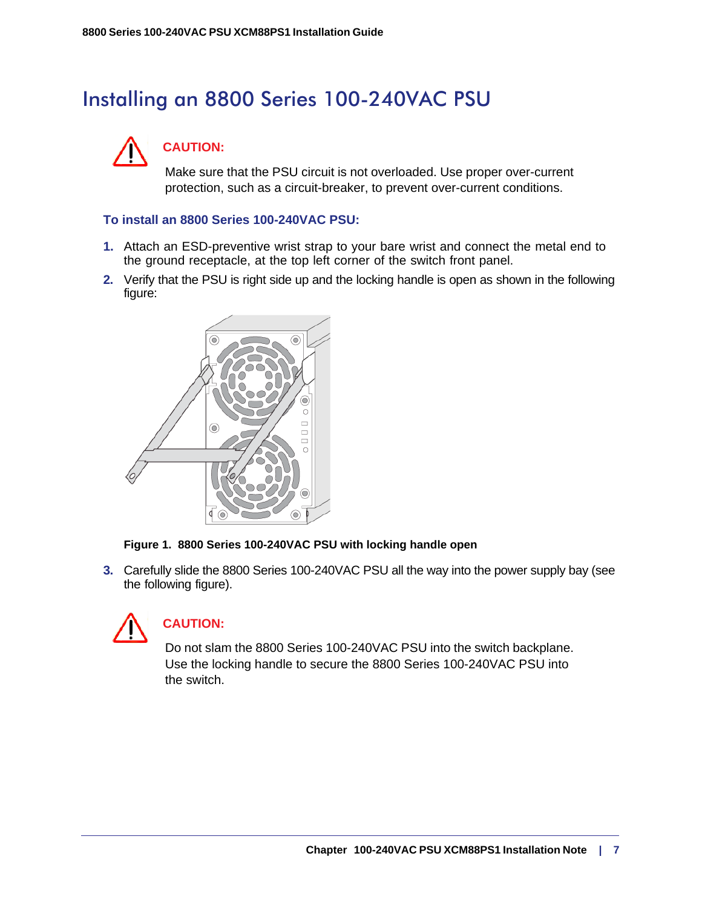### <span id="page-6-0"></span>Installing an 8800 Series 100-240VAC PSU



### **CAUTION:**

Make sure that the PSU circuit is not overloaded. Use proper over-current protection, such as a circuit-breaker, to prevent over-current conditions.

#### **To install an 8800 Series 100-240VAC PSU:**

- **1.** Attach an ESD-preventive wrist strap to your bare wrist and connect the metal end to the ground receptacle, at the top left corner of the switch front panel.
- **2.** Verify that the PSU is right side up and the locking handle is open as shown in the following figure:





**3.** Carefully slide the 8800 Series 100-240VAC PSU all the way into the power supply bay (see the following figure).



#### **CAUTION:**

Do not slam the 8800 Series 100-240VAC PSU into the switch backplane. Use the locking handle to secure the 8800 Series 100-240VAC PSU into the switch.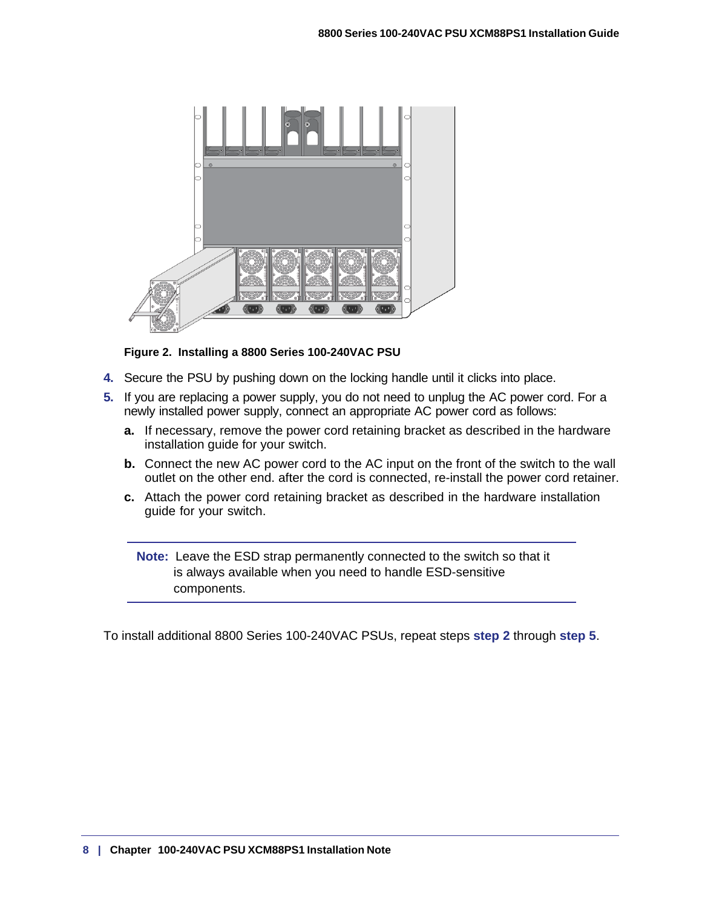

#### **Figure 2. Installing a 8800 Series 100-240VAC PSU**

- **4.** Secure the PSU by pushing down on the locking handle until it clicks into place.
- **5.** If you are replacing a power supply, you do not need to unplug the AC power cord. For a newly installed power supply, connect an appropriate AC power cord as follows:
	- **a.** If necessary, remove the power cord retaining bracket as described in the hardware installation guide for your switch.
	- **b.** Connect the new AC power cord to the AC input on the front of the switch to the wall outlet on the other end. after the cord is connected, re-install the power cord retainer.
	- **c.** Attach the power cord retaining bracket as described in the hardware installation guide for your switch.

**Note:** Leave the ESD strap permanently connected to the switch so that it is always available when you need to handle ESD-sensitive components.

To install additional 8800 Series 100-240VAC PSUs, repeat steps **step 2** through **step 5**.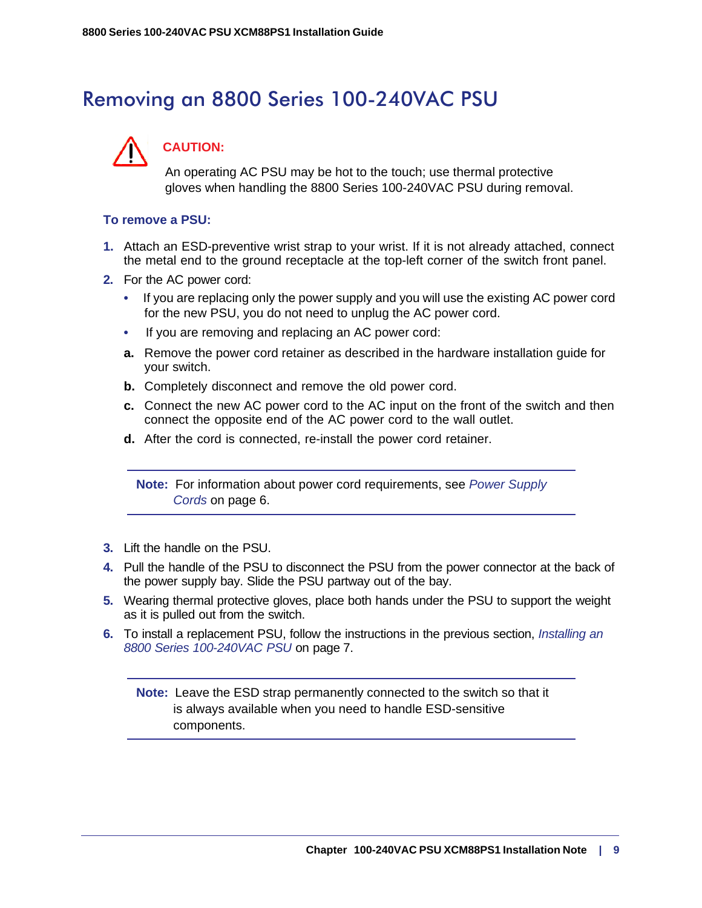### <span id="page-8-0"></span>Removing an 8800 Series 100-240VAC PSU



### **CAUTION:**

An operating AC PSU may be hot to the touch; use thermal protective gloves when handling the 8800 Series 100-240VAC PSU during removal.

#### **To remove a PSU:**

- **1.** Attach an ESD-preventive wrist strap to your wrist. If it is not already attached, connect the metal end to the ground receptacle at the top-left corner of the switch front panel.
- **2.** For the AC power cord:
	- If you are replacing only the power supply and you will use the existing AC power cord for the new PSU, you do not need to unplug the AC power cord.
	- If you are removing and replacing an AC power cord:
	- **a.** Remove the power cord retainer as described in the hardware installation guide for your switch.
	- **b.** Completely disconnect and remove the old power cord.
	- **c.** Connect the new AC power cord to the AC input on the front of the switch and then connect the opposite end of the AC power cord to the wall outlet.
	- **d.** After the cord is connected, re-install the power cord retainer.

**Note:** For information about power cord requirements, see *[Power Supply](#page-5-0)  Cords* [on page 6.](#page-5-0)

- **3.** Lift the handle on the PSU.
- **4.** Pull the handle of the PSU to disconnect the PSU from the power connector at the back of the power supply bay. Slide the PSU partway out of the bay.
- **5.** Wearing thermal protective gloves, place both hands under the PSU to support the weight as it is pulled out from the switch.
- **6.** To install a replacement PSU, follow the instructions in the previous section, *[Installing an](#page-6-0)  [8800 Series 100-240VAC PSU](#page-6-0)* on page 7.

**Note:** Leave the ESD strap permanently connected to the switch so that it is always available when you need to handle ESD-sensitive components.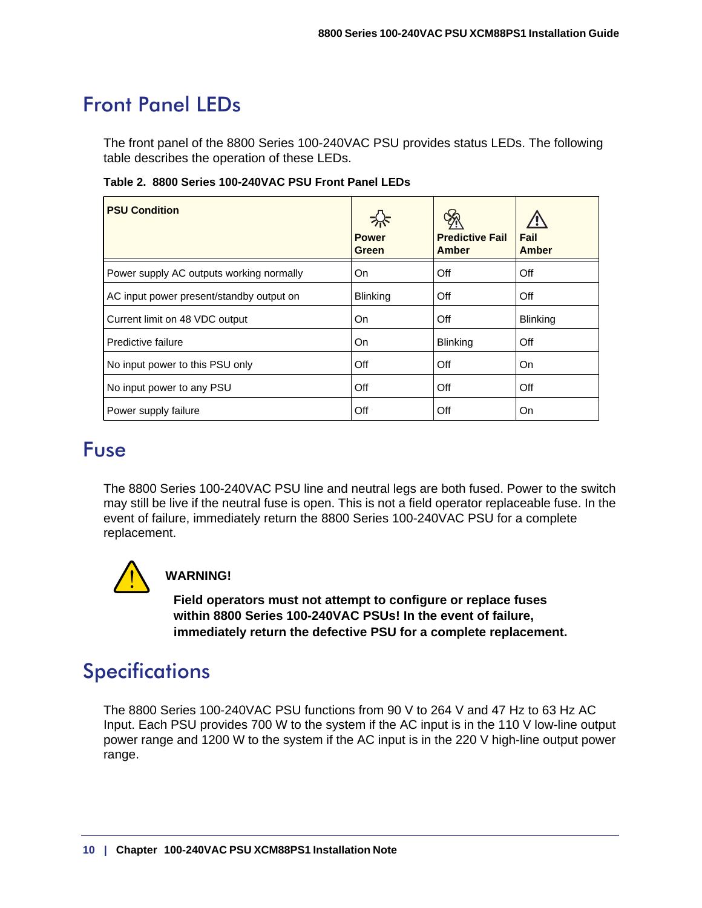### <span id="page-9-0"></span>Front Panel LEDs

The front panel of the 8800 Series 100-240VAC PSU provides status LEDs. The following table describes the operation of these LEDs.

|  |  |  | Table 2. 8800 Series 100-240VAC PSU Front Panel LEDs |
|--|--|--|------------------------------------------------------|
|--|--|--|------------------------------------------------------|

| <b>PSU Condition</b>                     | <b>Power</b><br>Green | <b>Predictive Fail</b><br><b>Amber</b> | Fail<br><b>Amber</b> |
|------------------------------------------|-----------------------|----------------------------------------|----------------------|
| Power supply AC outputs working normally | On.                   | Off                                    | Off                  |
| AC input power present/standby output on | <b>Blinking</b>       | Off                                    | Off                  |
| Current limit on 48 VDC output           | On                    | Off                                    | <b>Blinking</b>      |
| Predictive failure                       | On.                   | Blinking                               | Off                  |
| No input power to this PSU only          | Off                   | Off                                    | On                   |
| No input power to any PSU                | Off                   | Off                                    | Off                  |
| Power supply failure                     | Off                   | Off                                    | On                   |

### <span id="page-9-1"></span>Fuse

The 8800 Series 100-240VAC PSU line and neutral legs are both fused. Power to the switch may still be live if the neutral fuse is open. This is not a field operator replaceable fuse. In the event of failure, immediately return the 8800 Series 100-240VAC PSU for a complete replacement.



### **WARNING!**

**Field operators must not attempt to configure or replace fuses within 8800 Series 100-240VAC PSUs! In the event of failure, immediately return the defective PSU for a complete replacement.**

### <span id="page-9-2"></span>**Specifications**

The 8800 Series 100-240VAC PSU functions from 90 V to 264 V and 47 Hz to 63 Hz AC Input. Each PSU provides 700 W to the system if the AC input is in the 110 V low-line output power range and 1200 W to the system if the AC input is in the 220 V high-line output power range.